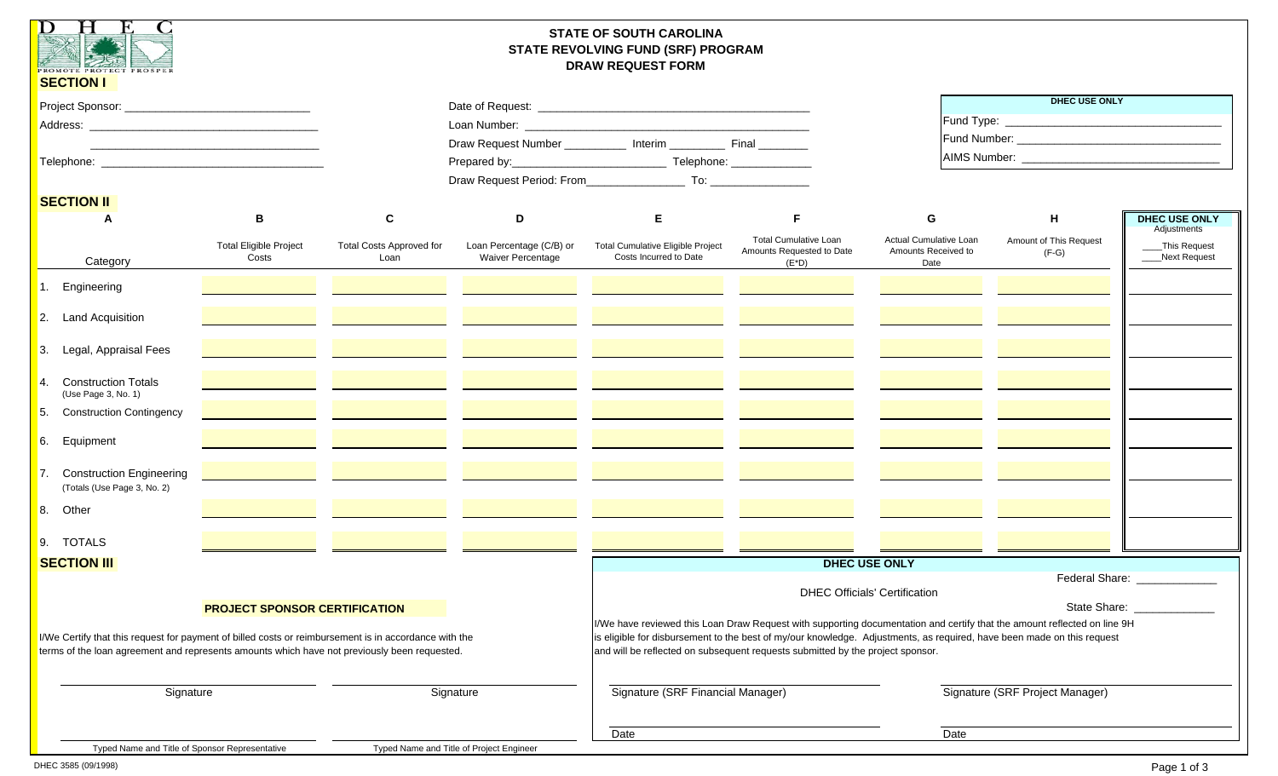| $\mathbf{D}$<br>H<br><b>EXECUTE AND ROTECT PROSPER</b><br><b>SECTION I</b>                                                                                                                            |                                                                                           |                                         |                                                                                                                                                                                                                                                                                                                                      | <b>STATE OF SOUTH CAROLINA</b><br>STATE REVOLVING FUND (SRF) PROGRAM<br><b>DRAW REQUEST FORM</b> |                                                                       |                                                       |                                   |                                     |
|-------------------------------------------------------------------------------------------------------------------------------------------------------------------------------------------------------|-------------------------------------------------------------------------------------------|-----------------------------------------|--------------------------------------------------------------------------------------------------------------------------------------------------------------------------------------------------------------------------------------------------------------------------------------------------------------------------------------|--------------------------------------------------------------------------------------------------|-----------------------------------------------------------------------|-------------------------------------------------------|-----------------------------------|-------------------------------------|
|                                                                                                                                                                                                       |                                                                                           |                                         |                                                                                                                                                                                                                                                                                                                                      |                                                                                                  |                                                                       |                                                       | <b>DHEC USE ONLY</b>              |                                     |
|                                                                                                                                                                                                       |                                                                                           |                                         |                                                                                                                                                                                                                                                                                                                                      |                                                                                                  |                                                                       |                                                       |                                   |                                     |
|                                                                                                                                                                                                       |                                                                                           |                                         |                                                                                                                                                                                                                                                                                                                                      | Draw Request Number ____________ Interim ____________ Final _________                            |                                                                       |                                                       |                                   |                                     |
|                                                                                                                                                                                                       | the control of the control of the control of the control of the control of the control of |                                         |                                                                                                                                                                                                                                                                                                                                      |                                                                                                  |                                                                       |                                                       |                                   |                                     |
|                                                                                                                                                                                                       |                                                                                           |                                         |                                                                                                                                                                                                                                                                                                                                      |                                                                                                  |                                                                       |                                                       |                                   |                                     |
|                                                                                                                                                                                                       |                                                                                           |                                         |                                                                                                                                                                                                                                                                                                                                      |                                                                                                  |                                                                       |                                                       |                                   |                                     |
| <b>SECTION II</b>                                                                                                                                                                                     |                                                                                           |                                         |                                                                                                                                                                                                                                                                                                                                      |                                                                                                  |                                                                       |                                                       |                                   |                                     |
| A                                                                                                                                                                                                     | В                                                                                         | C                                       | D                                                                                                                                                                                                                                                                                                                                    | E                                                                                                | F                                                                     | G                                                     | н                                 | <b>DHEC USE ONLY</b><br>Adjustments |
| Category                                                                                                                                                                                              | <b>Total Eligible Project</b><br>Costs                                                    | <b>Total Costs Approved for</b><br>Loan | Loan Percentage (C/B) or<br><b>Waiver Percentage</b>                                                                                                                                                                                                                                                                                 | <b>Total Cumulative Eligible Project</b><br>Costs Incurred to Date                               | <b>Total Cumulative Loan</b><br>Amounts Requested to Date<br>$(E^*D)$ | Actual Cumulative Loan<br>Amounts Received to<br>Date | Amount of This Request<br>$(F-G)$ | _This Request<br>Next Request       |
| Engineering                                                                                                                                                                                           |                                                                                           |                                         |                                                                                                                                                                                                                                                                                                                                      |                                                                                                  |                                                                       |                                                       |                                   |                                     |
| 2. Land Acquisition                                                                                                                                                                                   |                                                                                           |                                         |                                                                                                                                                                                                                                                                                                                                      |                                                                                                  |                                                                       |                                                       |                                   |                                     |
| 3. Legal, Appraisal Fees                                                                                                                                                                              |                                                                                           |                                         |                                                                                                                                                                                                                                                                                                                                      |                                                                                                  |                                                                       |                                                       |                                   |                                     |
| <b>Construction Totals</b><br>4<br>(Use Page 3, No. 1)                                                                                                                                                |                                                                                           |                                         |                                                                                                                                                                                                                                                                                                                                      |                                                                                                  |                                                                       |                                                       |                                   |                                     |
| 5.<br><b>Construction Contingency</b>                                                                                                                                                                 |                                                                                           |                                         |                                                                                                                                                                                                                                                                                                                                      |                                                                                                  |                                                                       |                                                       |                                   |                                     |
| 6. Equipment                                                                                                                                                                                          |                                                                                           |                                         |                                                                                                                                                                                                                                                                                                                                      |                                                                                                  |                                                                       |                                                       |                                   |                                     |
| <b>Construction Engineering</b><br>(Totals (Use Page 3, No. 2)                                                                                                                                        |                                                                                           |                                         |                                                                                                                                                                                                                                                                                                                                      |                                                                                                  |                                                                       |                                                       |                                   |                                     |
| 8.<br>Other                                                                                                                                                                                           |                                                                                           |                                         |                                                                                                                                                                                                                                                                                                                                      |                                                                                                  |                                                                       |                                                       |                                   |                                     |
| 9. TOTALS                                                                                                                                                                                             |                                                                                           |                                         |                                                                                                                                                                                                                                                                                                                                      |                                                                                                  |                                                                       |                                                       |                                   |                                     |
| <b>SECTION III</b>                                                                                                                                                                                    |                                                                                           |                                         |                                                                                                                                                                                                                                                                                                                                      |                                                                                                  |                                                                       | <b>DHEC USE ONLY</b>                                  | Federal Share:                    |                                     |
|                                                                                                                                                                                                       | <b>PROJECT SPONSOR CERTIFICATION</b>                                                      |                                         |                                                                                                                                                                                                                                                                                                                                      | <b>DHEC Officials' Certification</b><br>State Share:                                             |                                                                       |                                                       |                                   |                                     |
| I/We Certify that this request for payment of billed costs or reimbursement is in accordance with the<br>terms of the loan agreement and represents amounts which have not previously been requested. |                                                                                           |                                         | I/We have reviewed this Loan Draw Request with supporting documentation and certify that the amount reflected on line 9H<br>is eligible for disbursement to the best of my/our knowledge. Adjustments, as required, have been made on this request<br>and will be reflected on subsequent requests submitted by the project sponsor. |                                                                                                  |                                                                       |                                                       |                                   |                                     |
| Signature                                                                                                                                                                                             |                                                                                           |                                         | Signature                                                                                                                                                                                                                                                                                                                            | Signature (SRF Financial Manager)                                                                |                                                                       | Signature (SRF Project Manager)                       |                                   |                                     |
|                                                                                                                                                                                                       |                                                                                           |                                         |                                                                                                                                                                                                                                                                                                                                      | Date                                                                                             |                                                                       | <b>Date</b>                                           |                                   |                                     |
| Typed Name and Title of Sponsor Representative                                                                                                                                                        |                                                                                           |                                         | Typed Name and Title of Project Engineer                                                                                                                                                                                                                                                                                             |                                                                                                  |                                                                       |                                                       |                                   |                                     |

DHEC 3585 (09/1998)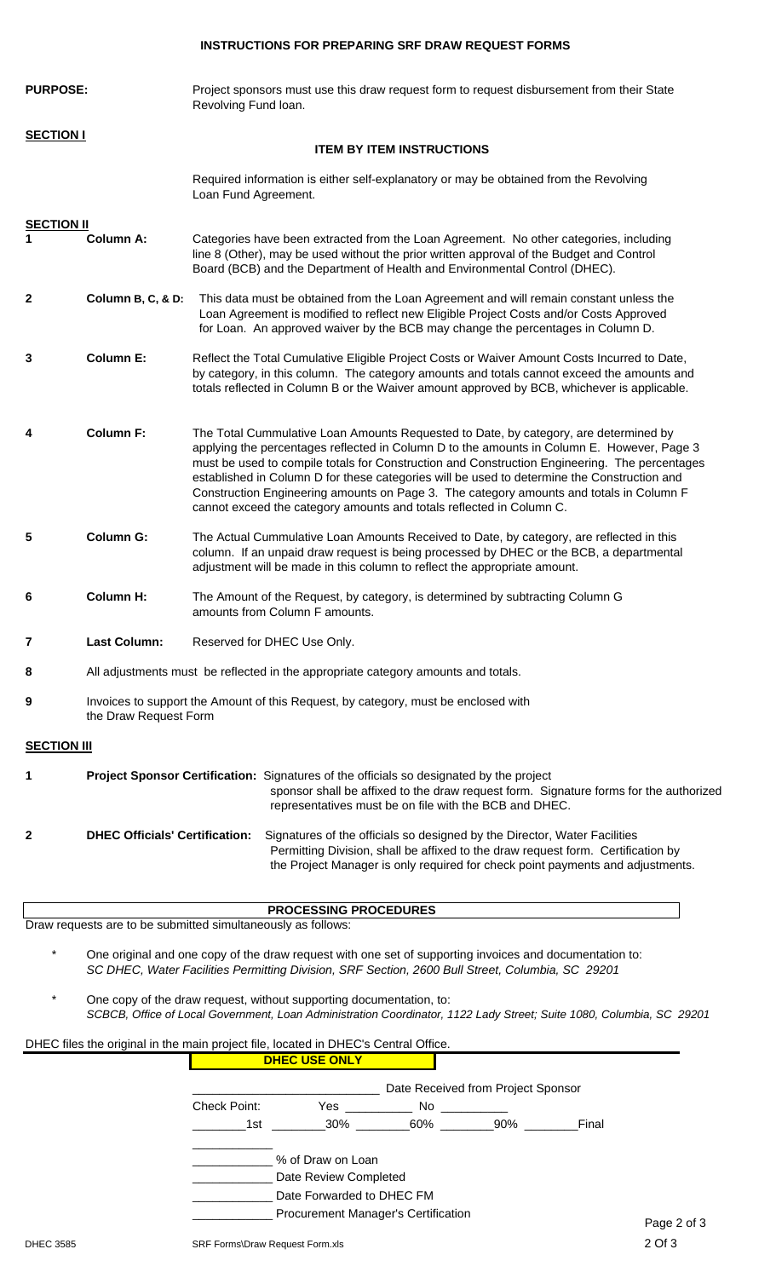## **INSTRUCTIONS FOR PREPARING SRF DRAW REQUEST FORMS**

| <b>PURPOSE:</b>    |                       | Project sponsors must use this draw request form to request disbursement from their State<br>Revolving Fund loan.                                                                                                                                                                                                                                                                                                                                                                                                                                     |
|--------------------|-----------------------|-------------------------------------------------------------------------------------------------------------------------------------------------------------------------------------------------------------------------------------------------------------------------------------------------------------------------------------------------------------------------------------------------------------------------------------------------------------------------------------------------------------------------------------------------------|
| <b>SECTION I</b>   |                       |                                                                                                                                                                                                                                                                                                                                                                                                                                                                                                                                                       |
|                    |                       | <b>ITEM BY ITEM INSTRUCTIONS</b>                                                                                                                                                                                                                                                                                                                                                                                                                                                                                                                      |
|                    |                       | Required information is either self-explanatory or may be obtained from the Revolving<br>Loan Fund Agreement.                                                                                                                                                                                                                                                                                                                                                                                                                                         |
| <b>SECTION II</b>  |                       |                                                                                                                                                                                                                                                                                                                                                                                                                                                                                                                                                       |
|                    | <b>Column A:</b>      | Categories have been extracted from the Loan Agreement. No other categories, including<br>line 8 (Other), may be used without the prior written approval of the Budget and Control<br>Board (BCB) and the Department of Health and Environmental Control (DHEC).                                                                                                                                                                                                                                                                                      |
| 2                  | Column B, C, & D:     | This data must be obtained from the Loan Agreement and will remain constant unless the<br>Loan Agreement is modified to reflect new Eligible Project Costs and/or Costs Approved<br>for Loan. An approved waiver by the BCB may change the percentages in Column D.                                                                                                                                                                                                                                                                                   |
| 3                  | <b>Column E:</b>      | Reflect the Total Cumulative Eligible Project Costs or Waiver Amount Costs Incurred to Date,<br>by category, in this column. The category amounts and totals cannot exceed the amounts and<br>totals reflected in Column B or the Waiver amount approved by BCB, whichever is applicable.                                                                                                                                                                                                                                                             |
| 4                  | <b>Column F:</b>      | The Total Cummulative Loan Amounts Requested to Date, by category, are determined by<br>applying the percentages reflected in Column D to the amounts in Column E. However, Page 3<br>must be used to compile totals for Construction and Construction Engineering. The percentages<br>established in Column D for these categories will be used to determine the Construction and<br>Construction Engineering amounts on Page 3. The category amounts and totals in Column F<br>cannot exceed the category amounts and totals reflected in Column C. |
| 5                  | <b>Column G:</b>      | The Actual Cummulative Loan Amounts Received to Date, by category, are reflected in this<br>column. If an unpaid draw request is being processed by DHEC or the BCB, a departmental<br>adjustment will be made in this column to reflect the appropriate amount.                                                                                                                                                                                                                                                                                      |
| 6                  | <b>Column H:</b>      | The Amount of the Request, by category, is determined by subtracting Column G<br>amounts from Column F amounts.                                                                                                                                                                                                                                                                                                                                                                                                                                       |
| 7                  | <b>Last Column:</b>   | Reserved for DHEC Use Only.                                                                                                                                                                                                                                                                                                                                                                                                                                                                                                                           |
| 8                  |                       | All adjustments must be reflected in the appropriate category amounts and totals.                                                                                                                                                                                                                                                                                                                                                                                                                                                                     |
| 9                  | the Draw Request Form | Invoices to support the Amount of this Request, by category, must be enclosed with                                                                                                                                                                                                                                                                                                                                                                                                                                                                    |
| <b>SECTION III</b> |                       |                                                                                                                                                                                                                                                                                                                                                                                                                                                                                                                                                       |
| 1                  |                       | Project Sponsor Certification: Signatures of the officials so designated by the project<br>sponsor shall be affixed to the draw request form. Signature forms for the authorized<br>representatives must be on file with the BCB and DHEC.                                                                                                                                                                                                                                                                                                            |

|  | <b>DHEC Officials' Certification:</b> Signatures of the officials so designed by the Director, Water Facilities |
|--|-----------------------------------------------------------------------------------------------------------------|
|  | Permitting Division, shall be affixed to the draw request form. Certification by                                |
|  | the Project Manager is only required for check point payments and adjustments.                                  |

| <b>PROCESSING PROCEDURES</b> |                                                              |  |  |  |  |  |  |  |
|------------------------------|--------------------------------------------------------------|--|--|--|--|--|--|--|
|                              | Draw requests are to be submitted simultaneously as follows: |  |  |  |  |  |  |  |
|                              |                                                              |  |  |  |  |  |  |  |

- \* One original and one copy of the draw request with one set of supporting invoices and documentation to: *SC DHEC, Water Facilities Permitting Division, SRF Section, 2600 Bull Street, Columbia, SC 29201*
- One copy of the draw request, without supporting documentation, to: *SCBCB, Office of Local Government, Loan Administration Coordinator, 1122 Lady Street; Suite 1080, Columbia, SC 29201*

| DHEC files the original in the main project file, located in DHEC's Central Office. |              |                                     |                                    |     |       |             |
|-------------------------------------------------------------------------------------|--------------|-------------------------------------|------------------------------------|-----|-------|-------------|
|                                                                                     |              | <b>DHEC USE ONLY</b>                |                                    |     |       |             |
|                                                                                     |              |                                     | Date Received from Project Sponsor |     |       |             |
|                                                                                     | Check Point: | Yes                                 | No                                 |     |       |             |
|                                                                                     | 1st          | 30%                                 | 60%                                | 90% | Final |             |
|                                                                                     |              | % of Draw on Loan                   |                                    |     |       |             |
|                                                                                     |              | Date Review Completed               |                                    |     |       |             |
|                                                                                     |              | Date Forwarded to DHEC FM           |                                    |     |       |             |
|                                                                                     |              | Procurement Manager's Certification |                                    |     |       | Page 2 of 3 |